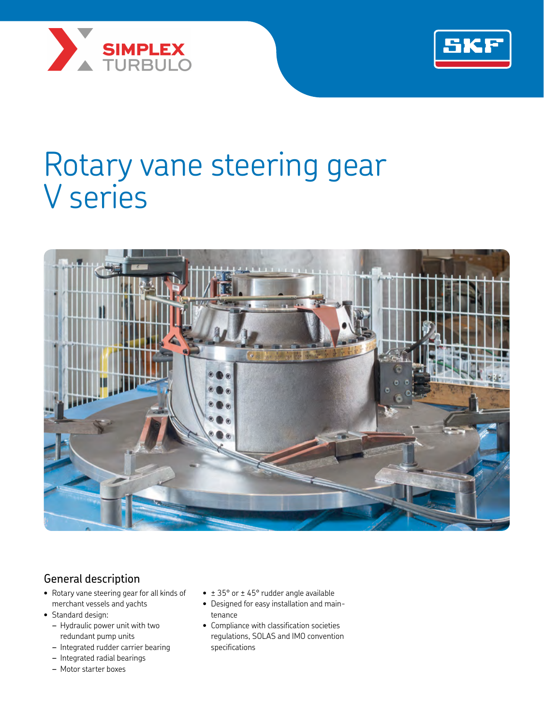



# Rotary vane steering gear V series



# General description

- Rotary vane steering gear for all kinds of merchant vessels and yachts
- Standard design:
	- *–* Hydraulic power unit with two redundant pump units
	- *–* Integrated rudder carrier bearing
	- *–* Integrated radial bearings
	- *–* Motor starter boxes
- $\bullet$   $\pm$  35° or  $\pm$  45° rudder angle available
- Designed for easy installation and maintenance
- Compliance with classification societies regulations, SOLAS and IMO convention specifications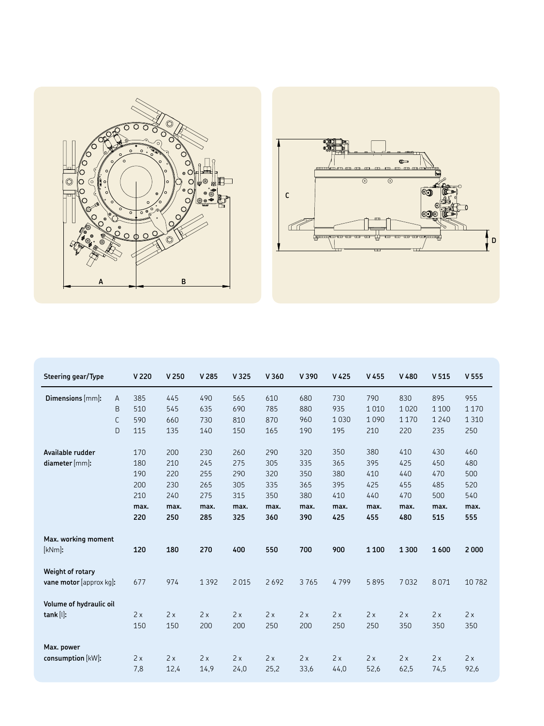



| Steering gear/Type                          |                             | V 220                                          | V <sub>250</sub>                               | V 285                                          | V 325                                          | V360                                           | V 390                                          | V <sub>425</sub>                               | V 455                                          | V 480                                          | V <sub>515</sub>                               | V 555                                          |
|---------------------------------------------|-----------------------------|------------------------------------------------|------------------------------------------------|------------------------------------------------|------------------------------------------------|------------------------------------------------|------------------------------------------------|------------------------------------------------|------------------------------------------------|------------------------------------------------|------------------------------------------------|------------------------------------------------|
| Dimensions [mm]:                            | Α<br>B<br>$\mathsf{C}$<br>D | 385<br>510<br>590<br>115                       | 445<br>545<br>660<br>135                       | 490<br>635<br>730<br>140                       | 565<br>690<br>810<br>150                       | 610<br>785<br>870<br>165                       | 680<br>880<br>960<br>190                       | 730<br>935<br>1030<br>195                      | 790<br>1010<br>1090<br>210                     | 830<br>1020<br>1170<br>220                     | 895<br>1 1 0 0<br>1240<br>235                  | 955<br>1 1 7 0<br>1 3 1 0<br>250               |
| Available rudder<br>diameter [mm]:          |                             | 170<br>180<br>190<br>200<br>210<br>max.<br>220 | 200<br>210<br>220<br>230<br>240<br>max.<br>250 | 230<br>245<br>255<br>265<br>275<br>max.<br>285 | 260<br>275<br>290<br>305<br>315<br>max.<br>325 | 290<br>305<br>320<br>335<br>350<br>max.<br>360 | 320<br>335<br>350<br>365<br>380<br>max.<br>390 | 350<br>365<br>380<br>395<br>410<br>max.<br>425 | 380<br>395<br>410<br>425<br>440<br>max.<br>455 | 410<br>425<br>440<br>455<br>470<br>max.<br>480 | 430<br>450<br>470<br>485<br>500<br>max.<br>515 | 460<br>480<br>500<br>520<br>540<br>max.<br>555 |
| Max. working moment<br>[kNm]:               |                             | 120                                            | 180                                            | 270                                            | 400                                            | 550                                            | 700                                            | 900                                            | 1 1 0 0                                        | 1300                                           | 1600                                           | 2000                                           |
| Weight of rotary<br>vane motor [approx kq]: |                             | 677                                            | 974                                            | 1392                                           | 2015                                           | 2692                                           | 3765                                           | 4799                                           | 5895                                           | 7032                                           | 8071                                           | 10782                                          |
| Volume of hydraulic oil<br>tank [l]:        |                             | 2x<br>150                                      | 2x<br>150                                      | 2x<br>200                                      | 2x<br>200                                      | 2x<br>250                                      | 2x<br>200                                      | 2x<br>250                                      | 2x<br>250                                      | 2x<br>350                                      | 2x<br>350                                      | 2x<br>350                                      |
| Max. power<br>consumption [kW]:             |                             | 2x<br>7,8                                      | 2x<br>12,4                                     | 2x<br>14,9                                     | 2x<br>24,0                                     | 2x<br>25,2                                     | 2x<br>33,6                                     | 2x<br>44,0                                     | 2x<br>52,6                                     | 2x<br>62,5                                     | 2x<br>74,5                                     | 2x<br>92,6                                     |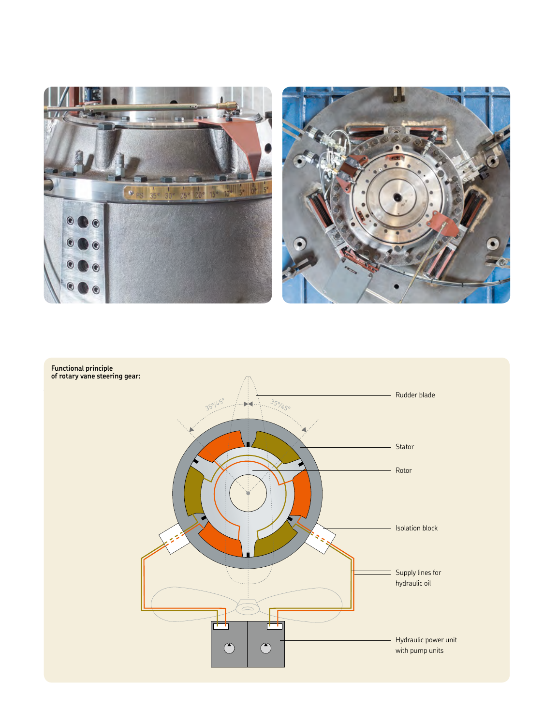